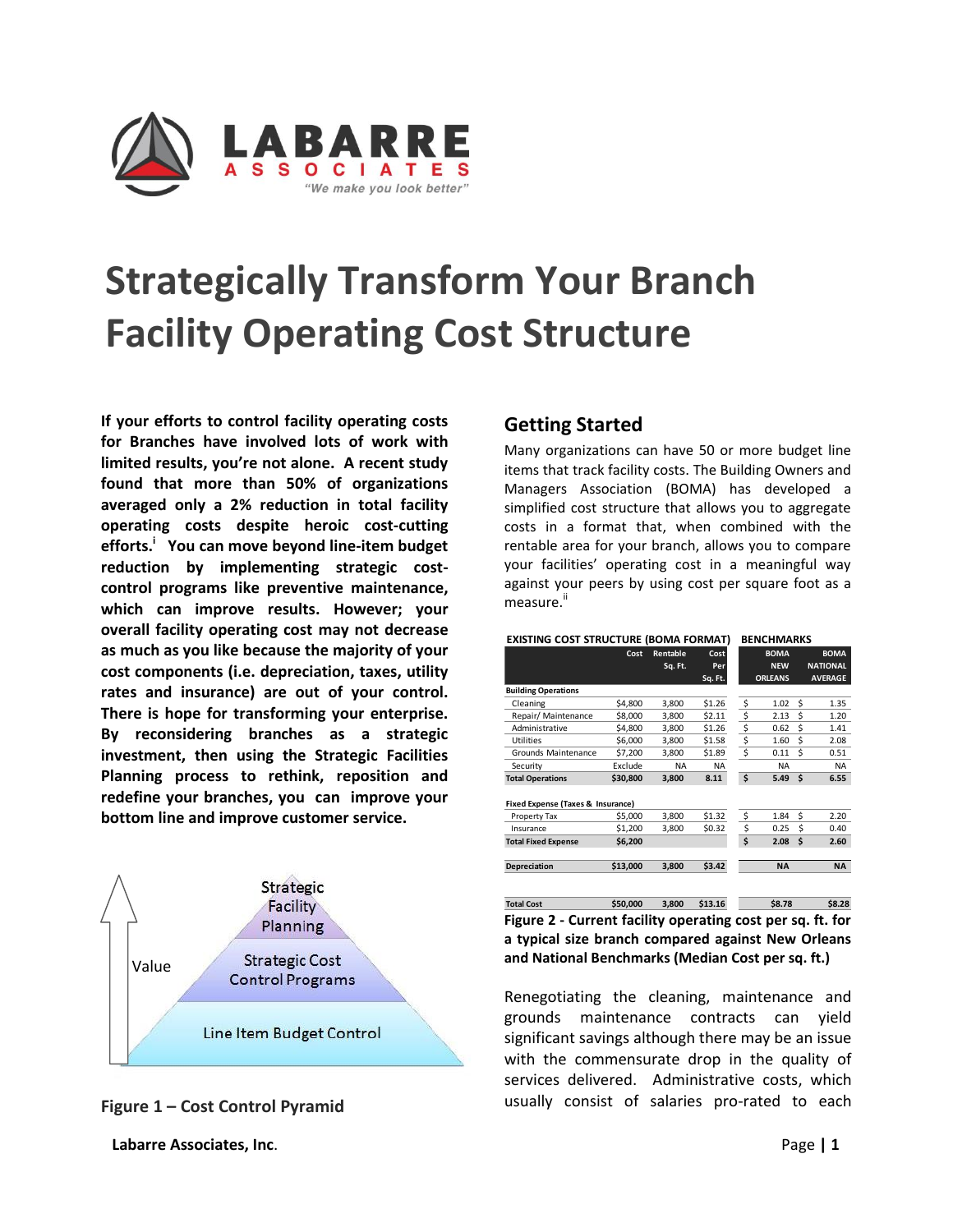

**If your efforts to control facility operating costs for Branches have involved lots of work with limited results, you're not alone. A recent study found that more than 50% of organizations averaged only a 2% reduction in total facility operating costs despite heroic cost-cutting efforts.<sup>i</sup> You can move beyond line-item budget reduction by implementing strategic costcontrol programs like preventive maintenance, which can improve results. However; your overall facility operating cost may not decrease as much as you like because the majority of your cost components (i.e. depreciation, taxes, utility rates and insurance) are out of your control. There is hope for transforming your enterprise. By reconsidering branches as a strategic investment, then using the Strategic Facilities Planning process to rethink, reposition and redefine your branches, you can improve your bottom line and improve customer service.** 





**Labarre Associates, Inc**. Page **| 1** 

# **Getting Started**

Many organizations can have 50 or more budget line items that track facility costs. The Building Owners and Managers Association (BOMA) has developed a simplified cost structure that allows you to aggregate costs in a format that, when combined with the rentable area for your branch, allows you to compare your facilities' operating cost in a meaningful way against your peers by using cost per square foot as a measure.<sup>ii</sup>

#### **EXISTING COST STRUCTURE (BOMA FORMAT) BENCHMARKS**

|                                   | Cost     | Rentable  | Cost<br>Per. |    | <b>BOMA</b><br><b>NEW</b> |     | <b>BOMA</b><br><b>NATIONAL</b> |  |  |
|-----------------------------------|----------|-----------|--------------|----|---------------------------|-----|--------------------------------|--|--|
|                                   |          | Sq. Ft.   | Sq. Ft.      |    | <b>ORLEANS</b>            |     | <b>AVERAGE</b>                 |  |  |
| <b>Building Operations</b>        |          |           |              |    |                           |     |                                |  |  |
| Cleaning                          | \$4,800  | 3,800     | \$1.26       | \$ | 1.02                      | Ś   | 1.35                           |  |  |
| Repair/ Maintenance               | \$8,000  | 3.800     | \$2.11       | \$ | 2.13                      | Ś   | 1.20                           |  |  |
| Administrative                    | \$4,800  | 3.800     | \$1.26       | \$ | 0.62                      | Ś   | 1.41                           |  |  |
| <b>Utilities</b>                  | \$6,000  | 3,800     | \$1.58       | \$ | 1.60                      | Ś   | 2.08                           |  |  |
| Grounds Maintenance               | \$7.200  | 3.800     | \$1.89       | \$ | 0.11                      | Ś   | 0.51                           |  |  |
| Security                          | Exclude  | <b>NA</b> | <b>NA</b>    |    | <b>NA</b>                 |     | <b>NA</b>                      |  |  |
| <b>Total Operations</b>           | \$30,800 | 3.800     | 8.11         | \$ | 5.49                      | - Ś | 6.55                           |  |  |
| Fixed Expense (Taxes & Insurance) |          |           |              |    |                           |     |                                |  |  |
| Property Tax                      | \$5,000  | 3.800     | \$1.32       | \$ | 1.84                      | Ś   | 2.20                           |  |  |
| Insurance                         | \$1,200  | 3,800     | \$0.32       | \$ | 0.25                      | Ś   | 0.40                           |  |  |
| <b>Total Fixed Expense</b>        | \$6,200  |           |              | \$ | 2.08                      | Ś   | 2.60                           |  |  |
| Depreciation                      | \$13,000 | 3.800     | \$3.42       |    | <b>NA</b>                 |     | <b>NA</b>                      |  |  |

**Total Cost \$50,000 3,800 \$13.16 \$8.78 \$8.28 Figure 2 - Current facility operating cost per sq. ft. for a typical size branch compared against New Orleans and National Benchmarks (Median Cost per sq. ft.)**

Renegotiating the cleaning, maintenance and grounds maintenance contracts can yield significant savings although there may be an issue with the commensurate drop in the quality of services delivered. Administrative costs, which usually consist of salaries pro-rated to each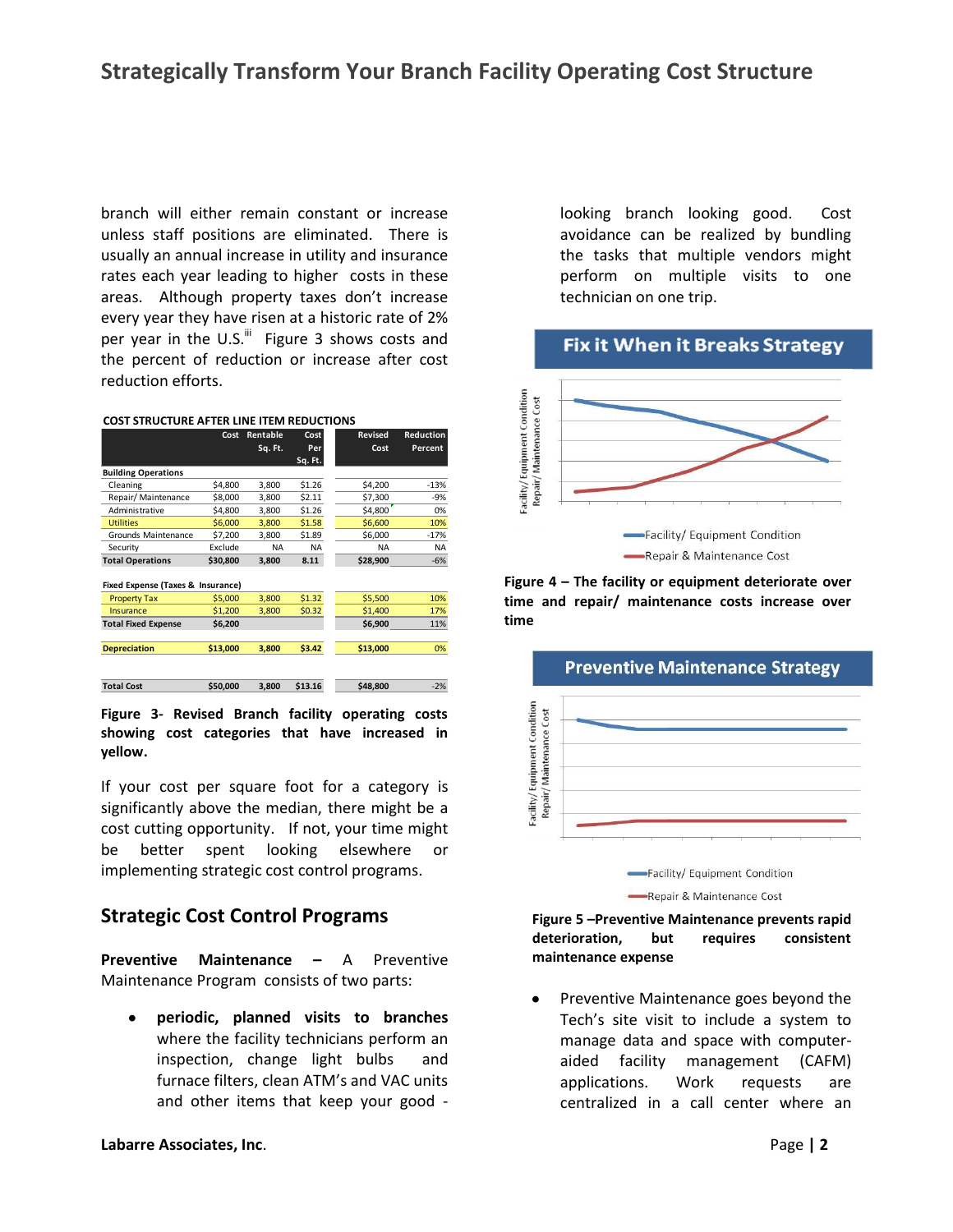branch will either remain constant or increase unless staff positions are eliminated. There is usually an annual increase in utility and insurance rates each year leading to higher costs in these areas. Although property taxes don't increase every year they have risen at a historic rate of 2% per year in the U.S. $\mathrm{^{iii}}$  Figure 3 shows costs and the percent of reduction or increase after cost reduction efforts.

|                                   | Cost     | Rentable<br>Sq. Ft. | Cost<br>Per | <b>Revised</b><br>Cost | <b>Reduction</b><br>Percent |
|-----------------------------------|----------|---------------------|-------------|------------------------|-----------------------------|
|                                   |          |                     | Sq. Ft.     |                        |                             |
| <b>Building Operations</b>        |          |                     |             |                        |                             |
| Cleaning                          | \$4,800  | 3,800               | \$1.26      | \$4,200                | $-13%$                      |
| Repair/ Maintenance               | \$8,000  | 3.800               | \$2.11      | \$7,300                | $-9%$                       |
| Administrative                    | \$4,800  | 3,800               | \$1.26      | \$4,800                | 0%                          |
| <b>Utilities</b>                  | \$6,000  | 3.800               | \$1.58      | \$6,600                | 10%                         |
| Grounds Maintenance               | \$7,200  | 3,800               | \$1.89      | \$6,000                | $-17%$                      |
| Security                          | Exclude  | <b>NA</b>           | <b>NA</b>   | <b>NA</b>              | <b>NA</b>                   |
| <b>Total Operations</b>           | \$30,800 | 3,800               | 8.11        | \$28,900               | $-6%$                       |
|                                   |          |                     |             |                        |                             |
| Fixed Expense (Taxes & Insurance) |          |                     |             |                        |                             |
| <b>Property Tax</b>               | \$5,000  | 3,800               | \$1.32      | \$5,500                | 10%                         |
| Insurance                         | \$1,200  | 3,800               | \$0.32      | \$1,400                | 17%                         |
| <b>Total Fixed Expense</b>        | \$6,200  |                     |             | \$6,900                | 11%                         |
|                                   |          |                     |             |                        |                             |
| <b>Depreciation</b>               | \$13,000 | 3,800               | \$3.42      | \$13,000               | 0%                          |
|                                   |          |                     |             |                        |                             |
|                                   |          |                     |             |                        |                             |
| <b>Total Cost</b>                 | \$50.000 | 3.800               | \$13.16     | \$48,800               | $-2%$                       |

**Figure 3- Revised Branch facility operating costs showing cost categories that have increased in yellow.**

If your cost per square foot for a category is significantly above the median, there might be a cost cutting opportunity. If not, your time might be better spent looking elsewhere or implementing strategic cost control programs.

# **Strategic Cost Control Programs**

**Preventive Maintenance –** A Preventive Maintenance Program consists of two parts:

**periodic, planned visits to branches** where the facility technicians perform an inspection, change light bulbs and furnace filters, clean ATM's and VAC units and other items that keep your good - looking branch looking good. Cost avoidance can be realized by bundling the tasks that multiple vendors might perform on multiple visits to one technician on one trip.

### **Fix it When it Breaks Strategy**



**Figure 4 – The facility or equipment deteriorate over time and repair/ maintenance costs increase over time**





#### **Figure 5 –Preventive Maintenance prevents rapid deterioration, but requires consistent maintenance expense**

Preventive Maintenance goes beyond the Tech's site visit to include a system to manage data and space with computeraided facility management (CAFM) applications. Work requests are centralized in a call center where an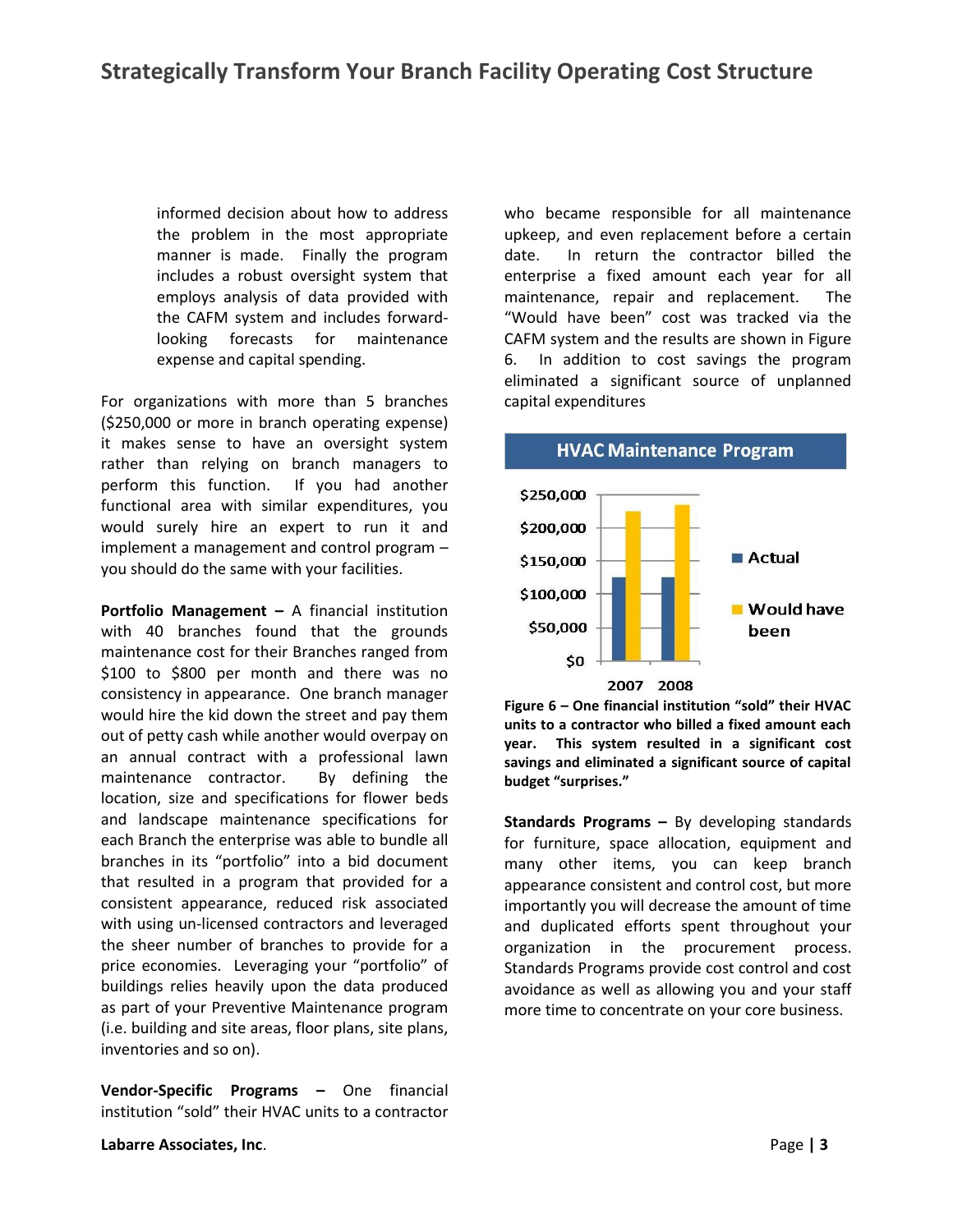informed decision about how to address the problem in the most appropriate manner is made. Finally the program includes a robust oversight system that employs analysis of data provided with the CAFM system and includes forwardlooking forecasts for maintenance expense and capital spending.

For organizations with more than 5 branches (\$250,000 or more in branch operating expense) it makes sense to have an oversight system rather than relying on branch managers to perform this function. If you had another functional area with similar expenditures, you would surely hire an expert to run it and implement a management and control program – you should do the same with your facilities.

**Portfolio Management –** A financial institution with 40 branches found that the grounds maintenance cost for their Branches ranged from \$100 to \$800 per month and there was no consistency in appearance. One branch manager would hire the kid down the street and pay them out of petty cash while another would overpay on an annual contract with a professional lawn maintenance contractor. By defining the location, size and specifications for flower beds and landscape maintenance specifications for each Branch the enterprise was able to bundle all branches in its "portfolio" into a bid document that resulted in a program that provided for a consistent appearance, reduced risk associated with using un-licensed contractors and leveraged the sheer number of branches to provide for a price economies. Leveraging your "portfolio" of buildings relies heavily upon the data produced as part of your Preventive Maintenance program (i.e. building and site areas, floor plans, site plans, inventories and so on).

**Vendor-Specific Programs –** One financial institution "sold" their HVAC units to a contractor who became responsible for all maintenance upkeep, and even replacement before a certain date. In return the contractor billed the enterprise a fixed amount each year for all maintenance, repair and replacement. The "Would have been" cost was tracked via the CAFM system and the results are shown in Figure 6. In addition to cost savings the program eliminated a significant source of unplanned capital expenditures





**Standards Programs –** By developing standards for furniture, space allocation, equipment and many other items, you can keep branch appearance consistent and control cost, but more importantly you will decrease the amount of time and duplicated efforts spent throughout your organization in the procurement process. Standards Programs provide cost control and cost avoidance as well as allowing you and your staff more time to concentrate on your core business.

#### **Labarre Associates, Inc**. Page **| 3**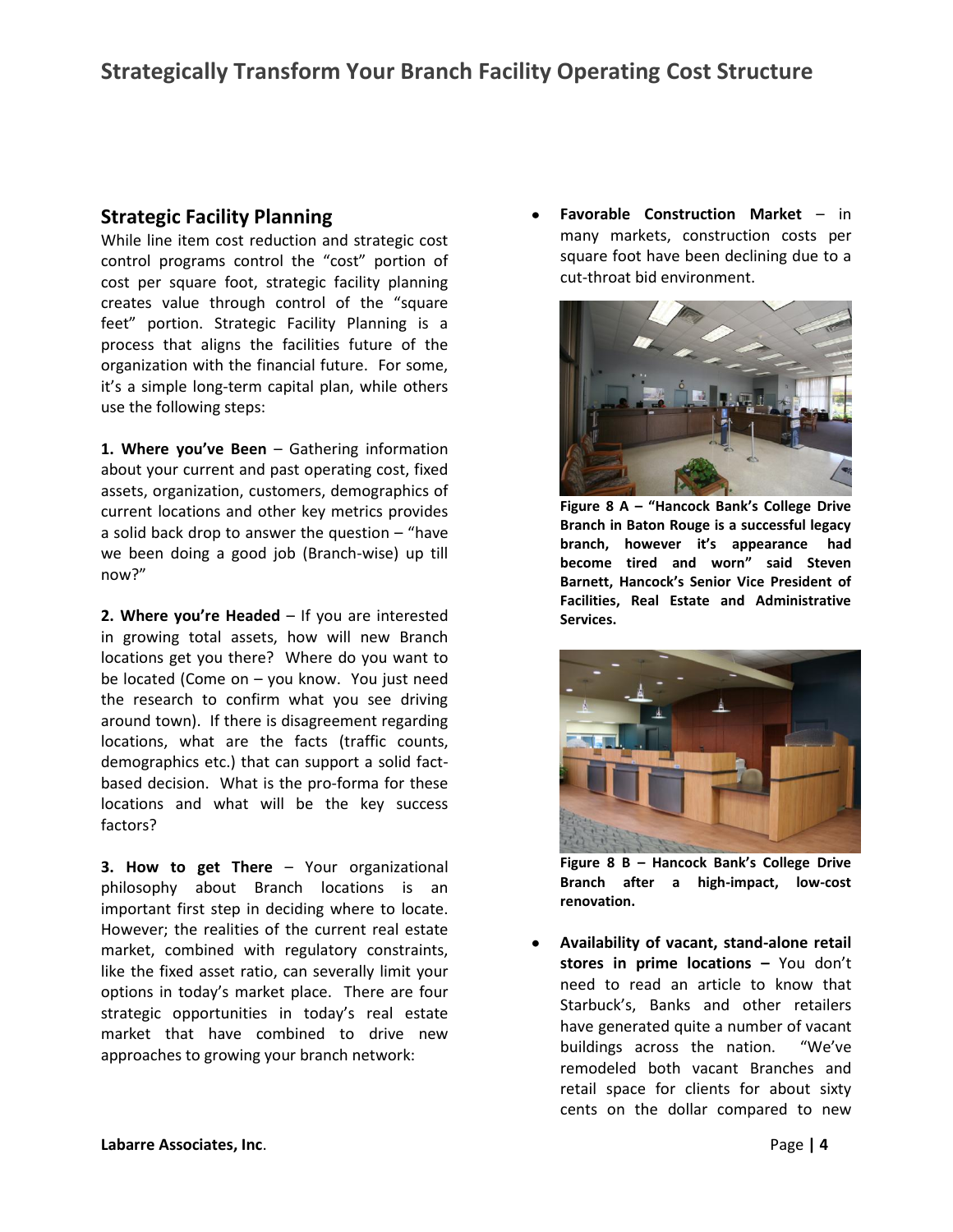## **Strategic Facility Planning**

While line item cost reduction and strategic cost control programs control the "cost" portion of cost per square foot, strategic facility planning creates value through control of the "square feet" portion. Strategic Facility Planning is a process that aligns the facilities future of the organization with the financial future. For some, it's a simple long-term capital plan, while others use the following steps:

**1. Where you've Been** – Gathering information about your current and past operating cost, fixed assets, organization, customers, demographics of current locations and other key metrics provides a solid back drop to answer the question  $-$  "have we been doing a good job (Branch-wise) up till now?"

**2. Where you're Headed** – If you are interested in growing total assets, how will new Branch locations get you there? Where do you want to be located (Come on – you know. You just need the research to confirm what you see driving around town). If there is disagreement regarding locations, what are the facts (traffic counts, demographics etc.) that can support a solid factbased decision. What is the pro-forma for these locations and what will be the key success factors?

**3. How to get There** – Your organizational philosophy about Branch locations is an important first step in deciding where to locate. However; the realities of the current real estate market, combined with regulatory constraints, like the fixed asset ratio, can severally limit your options in today's market place. There are four strategic opportunities in today's real estate market that have combined to drive new approaches to growing your branch network:

**Favorable Construction Market** – in many markets, construction costs per square foot have been declining due to a cut-throat bid environment.



**Figure 8 A – "Hancock Bank's College Drive Branch in Baton Rouge is a successful legacy branch, however it's appearance had become tired and worn" said Steven Barnett, Hancock's Senior Vice President of Facilities, Real Estate and Administrative Services.**



**Figure 8 B – Hancock Bank's College Drive Branch after a high-impact, low-cost renovation.**

**Availability of vacant, stand-alone retail stores in prime locations –** You don't need to read an article to know that Starbuck's, Banks and other retailers have generated quite a number of vacant buildings across the nation. "We've remodeled both vacant Branches and retail space for clients for about sixty cents on the dollar compared to new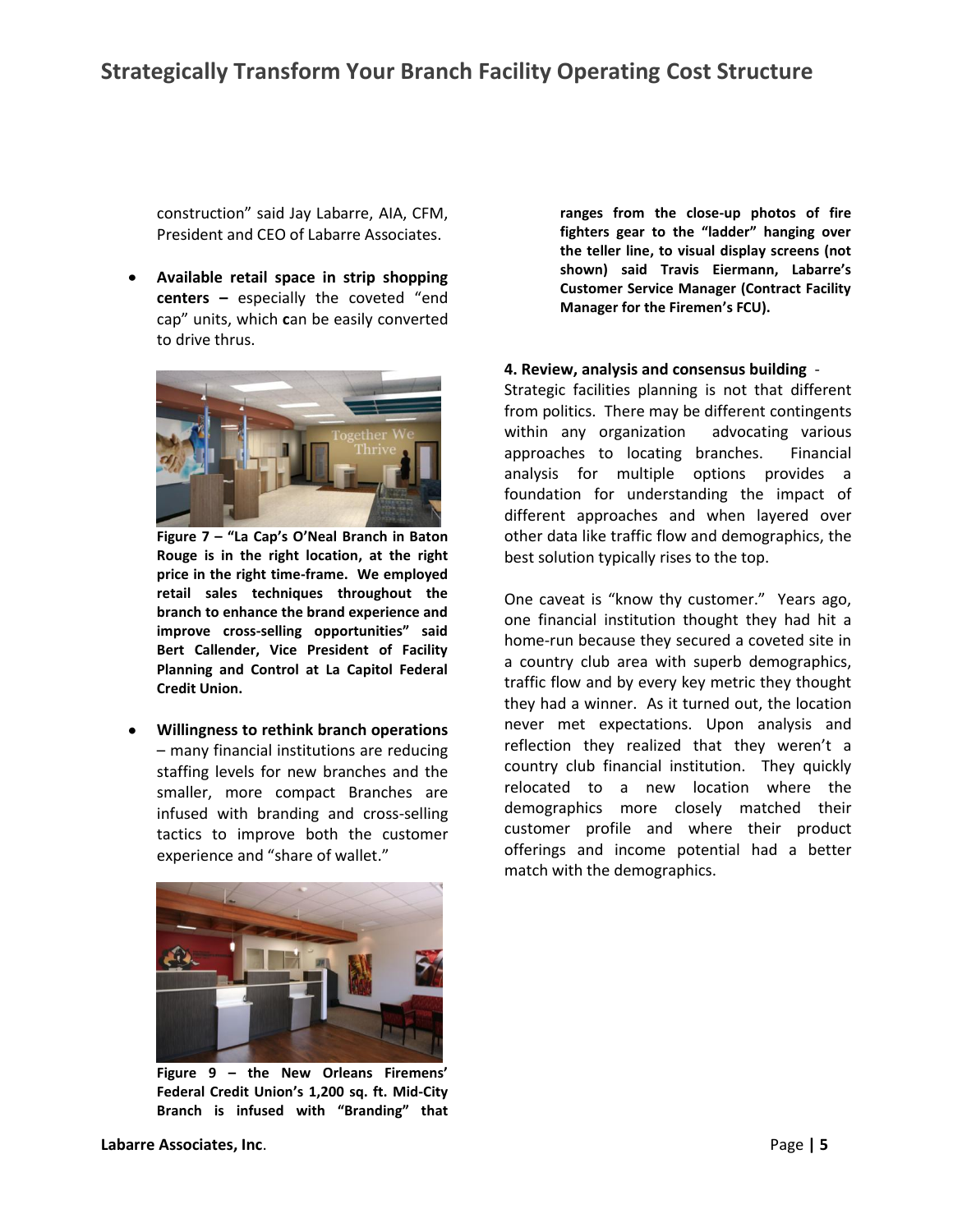construction" said Jay Labarre, AIA, CFM, President and CEO of Labarre Associates.

**Available retail space in strip shopping centers –** especially the coveted "end cap" units, which **c**an be easily converted to drive thrus.



**Figure 7 – "La Cap's O'Neal Branch in Baton Rouge is in the right location, at the right price in the right time-frame. We employed retail sales techniques throughout the branch to enhance the brand experience and improve cross-selling opportunities" said Bert Callender, Vice President of Facility Planning and Control at La Capitol Federal Credit Union.**

**Willingness to rethink branch operations** – many financial institutions are reducing staffing levels for new branches and the smaller, more compact Branches are infused with branding and cross-selling tactics to improve both the customer experience and "share of wallet."



**Figure 9 – the New Orleans Firemens' Federal Credit Union's 1,200 sq. ft. Mid-City Branch is infused with "Branding" that** 

**ranges from the close-up photos of fire fighters gear to the "ladder" hanging over the teller line, to visual display screens (not shown) said Travis Eiermann, Labarre's Customer Service Manager (Contract Facility Manager for the Firemen's FCU).**

#### **4. Review, analysis and consensus building** -

Strategic facilities planning is not that different from politics. There may be different contingents within any organization advocating various approaches to locating branches. Financial analysis for multiple options provides a foundation for understanding the impact of different approaches and when layered over other data like traffic flow and demographics, the best solution typically rises to the top.

One caveat is "know thy customer." Years ago, one financial institution thought they had hit a home-run because they secured a coveted site in a country club area with superb demographics, traffic flow and by every key metric they thought they had a winner. As it turned out, the location never met expectations. Upon analysis and reflection they realized that they weren't a country club financial institution. They quickly relocated to a new location where the demographics more closely matched their customer profile and where their product offerings and income potential had a better match with the demographics.